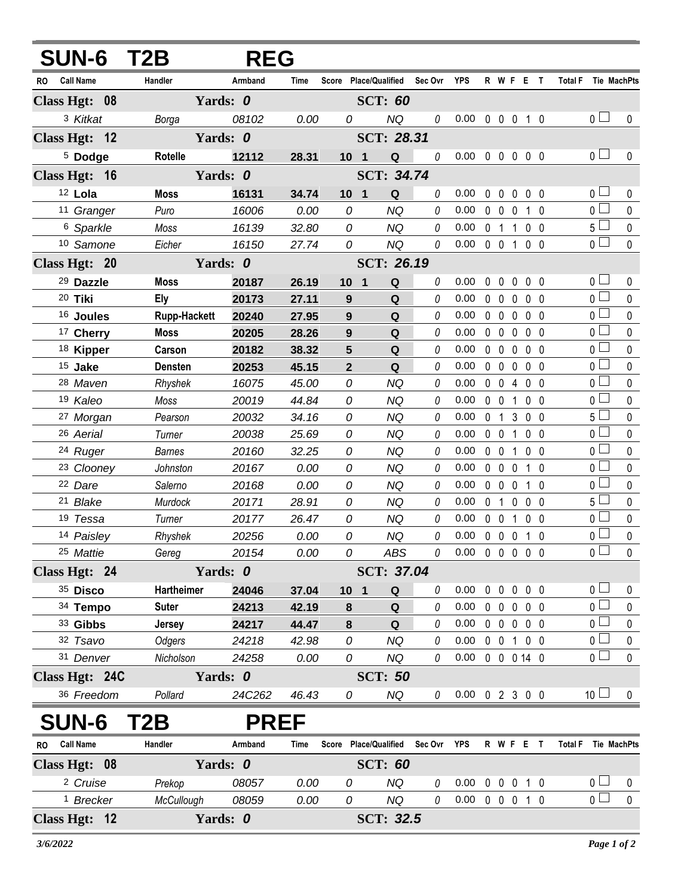| <b>SUN-6 T2B</b>              | <b>REG</b>          |             |                  |                |                                   |             |                            |              |                      |                   |                |                               |                       |                  |
|-------------------------------|---------------------|-------------|------------------|----------------|-----------------------------------|-------------|----------------------------|--------------|----------------------|-------------------|----------------|-------------------------------|-----------------------|------------------|
| RO Call Name                  | Handler             | Armband     | Time             |                | Score Place/Qualified Sec Ovr YPS |             |                            |              |                      |                   |                | R W F E T Total F Tie MachPts |                       |                  |
| Class Hgt: 08                 | Yards: 0            |             | <b>SCT: 60</b>   |                |                                   |             |                            |              |                      |                   |                |                               |                       |                  |
| 3 Kitkat                      | Borga               | 08102       | 0.00             | 0              | <b>NQ</b>                         | 0           | $0.00 \t0 \t0 \t0 \t1 \t0$ |              |                      |                   |                |                               | 0 <sub>l</sub>        | 0                |
| Class Hgt: 12                 |                     | Yards: 0    |                  |                | <b>SCT: 28.31</b>                 |             |                            |              |                      |                   |                |                               |                       |                  |
| <sup>5</sup> Dodge            | <b>Rotelle</b>      | 12112       | 28.31            |                | 10 <sub>1</sub><br>${\bf Q}$      | $\theta$    | 0.00                       |              | 00000                |                   |                |                               | 0 <sub>l</sub>        | $\mathbf{0}$     |
| Class Hgt: 16                 |                     | Yards: 0    |                  |                | SCT: 34.74                        |             |                            |              |                      |                   |                |                               |                       |                  |
| 12 Lola                       | <b>Moss</b>         | 16131       | 34.74            |                | Q<br>10 <sub>1</sub>              | 0           | 0.00                       | $\mathbf 0$  | $\mathbf 0$          | $\mathbf 0$       | $0\quad 0$     |                               | 0 <sub>0</sub>        | 0                |
| 11 Granger                    | Puro                | 16006       | 0.00             | 0              | <b>NQ</b>                         | $\theta$    | 0.00                       |              | $0\quad 0\quad 0$    |                   | $1\quad0$      |                               | 0 <sub>1</sub>        | $\mathbf 0$      |
| 6 Sparkle                     | Moss                | 16139       | 32.80            | 0              | <b>NQ</b>                         | 0           | 0.00                       |              | $0 \t1 \t1$          |                   | 0 <sub>0</sub> |                               | $5\Box$               | $\pmb{0}$        |
| 10 Samone                     | Eicher              | 16150       | 27.74            | 0              | <b>NQ</b>                         | 0           | 0.00                       |              | $0 \t0 \t1$          |                   | 0 <sub>0</sub> |                               | 0 <sub>0</sub>        | $\mathbf 0$      |
| Class Hgt: 20                 | Yards: 0            |             | SCT: 26.19       |                |                                   |             |                            |              |                      |                   |                |                               |                       |                  |
| 29 Dazzle                     | <b>Moss</b>         | 20187       | 26.19            |                | 10 <sub>1</sub><br>Q              | 0           | 0.00                       | $\mathbf{0}$ | $\mathbf 0$          | 0                 | 0 <sub>0</sub> |                               | 0 <sup>1</sup>        | 0                |
| 20 Tiki                       | <b>Ely</b>          | 20173       | 27.11            | 9              | Q                                 | 0           | 0.00                       | $\mathbf 0$  | $\mathbf 0$          | 0                 | 0 <sub>0</sub> |                               | 0 <sub>l</sub>        | $\mathbf 0$      |
| <sup>16</sup> Joules          | <b>Rupp-Hackett</b> | 20240       | 27.95            | 9              | ${\bf Q}$                         | 0           | 0.00                       | $\mathbf 0$  | $\mathbf 0$          | 0                 | 0 <sub>0</sub> |                               | 0 <sup>2</sup>        | $\mathbf 0$      |
| <sup>17</sup> Cherry          | <b>Moss</b>         | 20205       | 28.26            | 9              | Q                                 | 0           | 0.00                       |              | $0\quad 0$           | 0                 | 0 <sub>0</sub> |                               | 0 <sup>1</sup>        | $\mathbf 0$      |
| <sup>18</sup> Kipper          | Carson              | 20182       | 38.32            | $5\phantom{1}$ | ${\bf Q}$                         | 0           | 0.00                       |              | 0 <sub>0</sub>       | $\mathbf{0}$      | 0 <sub>0</sub> |                               | $\overline{0}$        | $\mathbf 0$      |
| 15 Jake                       | <b>Densten</b>      | 20253       | 45.15            | $\overline{2}$ | Q                                 | 0           | 0.00                       | $\mathbf 0$  | $\mathbf 0$          | $\mathbf{0}$      | 0 <sub>0</sub> |                               | $\overline{0}$        | $\mathbf 0$      |
| 28 Maven                      | Rhyshek             | 16075       | 45.00            | 0              | <b>NQ</b>                         | 0           | 0.00                       | $\mathbf 0$  | $\mathbf 0$          | 4                 | $0\quad 0$     |                               | 0 <sup>1</sup>        | $\mathbf 0$      |
| 19 Kaleo                      | Moss                | 20019       | 44.84            | 0              | <b>NQ</b>                         | 0           | 0.00                       |              | $0\quad 0$           | 1                 | 0 <sub>0</sub> |                               | 0 <sup>1</sup>        | $\mathbf{0}$     |
| 27 Morgan                     | Pearson             | 20032       | 34.16            | 0              | <b>NQ</b>                         | 0           | 0.00                       | $\mathbf{0}$ | $\mathbf{1}$         | $\mathbf{3}$      | 0 <sub>0</sub> |                               | $5\Box$               | $\mathbf 0$      |
| 26 Aerial                     | Turner              | 20038       | 25.69            | 0              | <b>NQ</b>                         | 0           | 0.00                       |              | $0\quad 0$           | $\mathbf{1}$      | 0 <sub>0</sub> |                               | $\overline{0}$        | $\mathbf{0}$     |
| 24 Ruger                      | <b>Barnes</b>       | 20160       | 32.25            | 0              | <b>NQ</b>                         | 0           | 0.00                       |              | $0\quad 0$           | $\mathbf 1$       | $0\quad 0$     |                               | $\overline{0}$        | $\mathbf 0$      |
| <sup>23</sup> Clooney         | Johnston            | 20167       | 0.00             | 0              | <b>NQ</b>                         | 0           | 0.00                       |              | $0\quad 0$           | $\mathbf 0$       | $1\quad0$      |                               | 0 <sub>0</sub>        | $\mathbf 0$      |
| 22 Dare                       | Salerno             | 20168       | 0.00             | 0              | <b>NQ</b>                         | 0           | 0.00                       |              | $0\quad 0$           | $\mathbf{0}$      | $1\quad0$      |                               | $\overline{0}$        | $\mathbf 0$      |
| 21 Blake                      | Murdock             | 20171       | 28.91            | 0              | <b>NQ</b>                         | 0           | 0.00                       | $\mathbf 0$  | $\overline{1}$       | $\mathbf 0$       | 0 <sub>0</sub> |                               | $5\Box$               | $\mathbf 0$      |
| 19 Tessa                      | Turner              | 20177       | 26.47            | 0              | <b>NQ</b>                         | 0           | 0.00                       |              | $0\quad 0$           | $\mathbf 1$       | 0 <sub>0</sub> |                               | $\overline{0}$        | $\pmb{0}$        |
| 14 Paisley                    | Rhyshek             | 20256       | 0.00             | 0              | <b>NQ</b>                         | 0           | 0.00                       |              | $0\quad 0\quad 0$    |                   | $1\quad0$      |                               | 0 L                   | $\pmb{0}$        |
| 25 Mattie                     | Gereg               | 20154       | 0.00             | 0              | ABS                               |             | $0.00 \t0 \t0 \t0 \t0 \t0$ |              |                      |                   |                |                               | $\overline{0}$        | $\mathbf 0$      |
| Class Hgt: 24                 |                     | Yards: 0    |                  |                | SCT: 37.04                        |             |                            |              |                      |                   |                |                               |                       |                  |
| 35 Disco                      | <b>Hartheimer</b>   | 24046       | 37.04            |                | 10 <sub>1</sub><br>Q              | 0           | 0.00                       |              | $0\quad 0$           | $0\quad 0\quad 0$ |                |                               | $\overline{0}$        | 0                |
| 34 Tempo                      | <b>Suter</b>        | 24213       | 42.19            | 8              | Q                                 | 0           | 0.00                       |              | $0\quad 0$           | $0\quad 0\quad 0$ |                |                               | $\overline{0}$        | $\pmb{0}$        |
| 33 Gibbs                      | <b>Jersey</b>       | 24217       | 44.47            | 8              | Q                                 | 0           | 0.00                       |              | $0\quad 0$           | $\mathbf 0$       | $0\quad 0$     |                               | $\overline{0}$ $\Box$ | $\mathbf 0$      |
| 32 Tsavo                      | Odgers              | 24218       | 42.98            | 0              | <b>NQ</b>                         | 0           | 0.00                       |              | 0 0 1 0 0            |                   |                |                               | $\overline{0}$ $\Box$ | 0                |
| 31 Denver                     | Nicholson           | 24258       | 0.00             | 0              | NQ                                | 0           | 0.00                       |              | $0 \t0 \t0 \t14 \t0$ |                   |                |                               | $\overline{0}$ $\Box$ | 0                |
| Class Hgt: 24C                |                     | Yards: 0    |                  |                | <b>SCT: 50</b>                    |             |                            |              |                      |                   |                |                               |                       |                  |
| 36 Freedom                    | Pollard             | 24C262      | 46.43            | 0              | NQ                                | 0           | $0.00 \t0 2 3 0 0$         |              |                      |                   |                |                               | 10 <sup>1</sup>       | 0                |
| <b>SUN-6</b>                  | T2B                 | <b>PREF</b> |                  |                |                                   |             |                            |              |                      |                   |                |                               |                       |                  |
| <b>Call Name</b><br><b>RO</b> | Handler             | Armband     | Time             |                | Score Place/Qualified             | Sec Ovr YPS |                            |              | R W F E T            |                   |                |                               | Total F Tie MachPts   |                  |
| Class Hgt: 08                 | Yards: 0            |             |                  |                | <b>SCT: 60</b>                    |             |                            |              |                      |                   |                |                               |                       |                  |
| <sup>2</sup> Cruise           | Prekop              | 08057       | 0.00             | 0              | <b>NQ</b>                         | 0           | 0.00                       | $\mathbf 0$  | $\mathbf 0$          | $\mathbf 0$       | $1\quad0$      |                               | 0 <sub>0</sub>        | $\boldsymbol{0}$ |
| <sup>1</sup> Brecker          | McCullough          | 08059       | 0.00             | 0              | NQ                                | 0           | 0.00                       |              | 0 0 0 1 0            |                   |                |                               | $\overline{0}$        | $\mathbf 0$      |
| Class Hgt: 12                 |                     | Yards: 0    | <b>SCT: 32.5</b> |                |                                   |             |                            |              |                      |                   |                |                               |                       |                  |